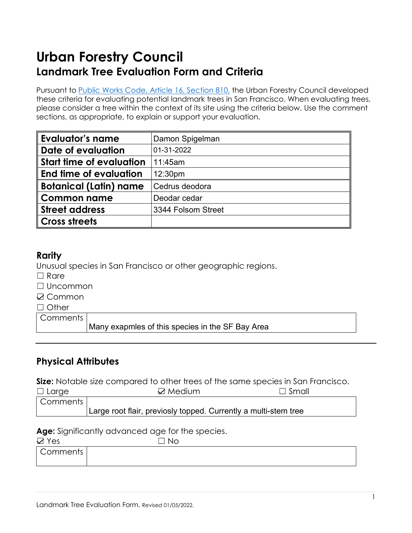# **Urban Forestry Council Landmark Tree Evaluation Form and Criteria**

Pursuant to [Public Works Code,](https://codelibrary.amlegal.com/codes/san_francisco/latest/sf_publicworks/0-0-0-4204) Article 16, Section 810, the Urban Forestry Council developed these criteria for evaluating potential landmark trees in San Francisco. When evaluating trees, please consider a tree within the context of its site using the criteria below. Use the comment sections, as appropriate, to explain or support your evaluation.

| <b>Evaluator's name</b>         | Damon Spigelman    |
|---------------------------------|--------------------|
| Date of evaluation              | 01-31-2022         |
| <b>Start time of evaluation</b> | 11:45am            |
| End time of evaluation          | 12:30pm            |
| <b>Botanical (Latin) name</b>   | Cedrus deodora     |
| <b>Common name</b>              | Deodar cedar       |
| <b>Street address</b>           | 3344 Folsom Street |
| <b>Cross streets</b>            |                    |

## **Rarity**

Unusual species in San Francisco or other geographic regions.

- $\Box$  Rare
- ☐ Uncommon
- **☑ Common**
- □ Other

**Comments** 

Many exapmles of this species in the SF Bay Area

# **Physical Attributes**

**Size:** Notable size compared to other trees of the same species in San Francisco.

| $\Box$ Large | $\boxtimes$ Medium                                              | $\Box$ Small |
|--------------|-----------------------------------------------------------------|--------------|
| Comments     |                                                                 |              |
|              | Large root flair, previosly topped. Currently a multi-stem tree |              |

**Age:** Significantly advanced age for the species.

| __<br>__<br>$\boxtimes$ Yes | <b>No</b> |
|-----------------------------|-----------|
| Comments                    |           |
|                             |           |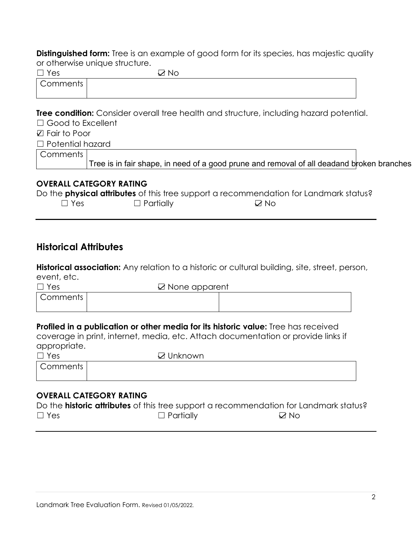**Distinguished form:** Tree is an example of good form for its species, has majestic quality or otherwise unique structure.

| $\Box$ Yes               | ⊠ No                                                                                           |  |
|--------------------------|------------------------------------------------------------------------------------------------|--|
| Comments                 |                                                                                                |  |
|                          |                                                                                                |  |
|                          |                                                                                                |  |
|                          | <b>Tree condition:</b> Consider overall tree health and structure, including hazard potential. |  |
| $\Box$ Good to Excellent |                                                                                                |  |
| $\boxtimes$ Fair to Poor |                                                                                                |  |
| $\Box$ Potential hazard  |                                                                                                |  |
|                          |                                                                                                |  |

| I Comments I |                                                                                           |  |
|--------------|-------------------------------------------------------------------------------------------|--|
|              | Tree is in fair shape, in need of a good prune and removal of all deadand broken branches |  |

#### **OVERALL CATEGORY RATING**

|            |                  | Do the <b>physical attributes</b> of this tree support a recommendation for Landmark status? |
|------------|------------------|----------------------------------------------------------------------------------------------|
| $\Box$ Yes | $\Box$ Partially | $\Box$ No                                                                                    |

# **Historical Attributes**

**Historical association:** Any relation to a historic or cultural building, site, street, person, event, etc.

| $\Box$ Yes | $\boxtimes$ None apparent |  |
|------------|---------------------------|--|
| Comments   |                           |  |
|            |                           |  |

#### **Profiled in a publication or other media for its historic value:** Tree has received

coverage in print, internet, media, etc. Attach documentation or provide links if appropriate.

| $\Box$ Yes | ☑ Unknown |
|------------|-----------|
| Comments   |           |
|            |           |

### **OVERALL CATEGORY RATING**

|            |                  | Do the <b>historic attributes</b> of this tree support a recommendation for Landmark status? |
|------------|------------------|----------------------------------------------------------------------------------------------|
| $\Box$ Yes | $\Box$ Partially | $\nabla$ No                                                                                  |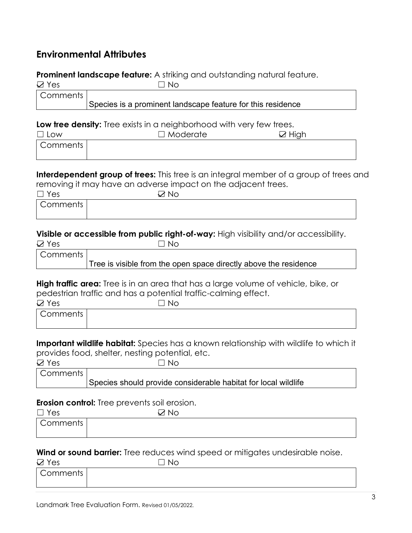# **Environmental Attributes**

## **Prominent landscape feature:** A striking and outstanding natural feature.

| $\boxtimes$ Yes | l I No                                                      |  |
|-----------------|-------------------------------------------------------------|--|
| Comments        |                                                             |  |
|                 | Species is a prominent landscape feature for this residence |  |

#### **Low tree density:** Tree exists in a neighborhood with very few trees.

| $\Box$ Low | $\Box$ Moderate | $\boxtimes$ High |
|------------|-----------------|------------------|
| Comments   |                 |                  |
|            |                 |                  |

**Interdependent group of trees:** This tree is an integral member of a group of trees and removing it may have an adverse impact on the adjacent trees.

| $\Box$ Yes | ⇁<br>`Nol |  |
|------------|-----------|--|
| Comments   |           |  |

#### **Visible or accessible from public right-of-way:** High visibility and/or accessibility.

| $\boxtimes$ Yes | $\Box$ No                                                        |
|-----------------|------------------------------------------------------------------|
| Comments        |                                                                  |
|                 | Tree is visible from the open space directly above the residence |

**High traffic area:** Tree is in an area that has a large volume of vehicle, bike, or pedestrian traffic and has a potential traffic-calming effect.

| $\boxtimes$ Yes | <b>No</b><br>ᄀ |  |
|-----------------|----------------|--|
| Comments        |                |  |
|                 |                |  |

**Important wildlife habitat:** Species has a known relationship with wildlife to which it provides food, shelter, nesting potential, etc.

| $\boxtimes$ Yes | ∩No                                                            |  |
|-----------------|----------------------------------------------------------------|--|
| Comments        |                                                                |  |
|                 | Species should provide considerable habitat for local wildlife |  |

#### **Erosion control:** Tree prevents soil erosion.

| $\Box$ Yes | ⊠ No |  |
|------------|------|--|
| Comments   |      |  |
|            |      |  |

### **Wind or sound barrier:** Tree reduces wind speed or mitigates undesirable noise.

| $\boxtimes$ Yes | `No |  |
|-----------------|-----|--|
| Comments        |     |  |
|                 |     |  |